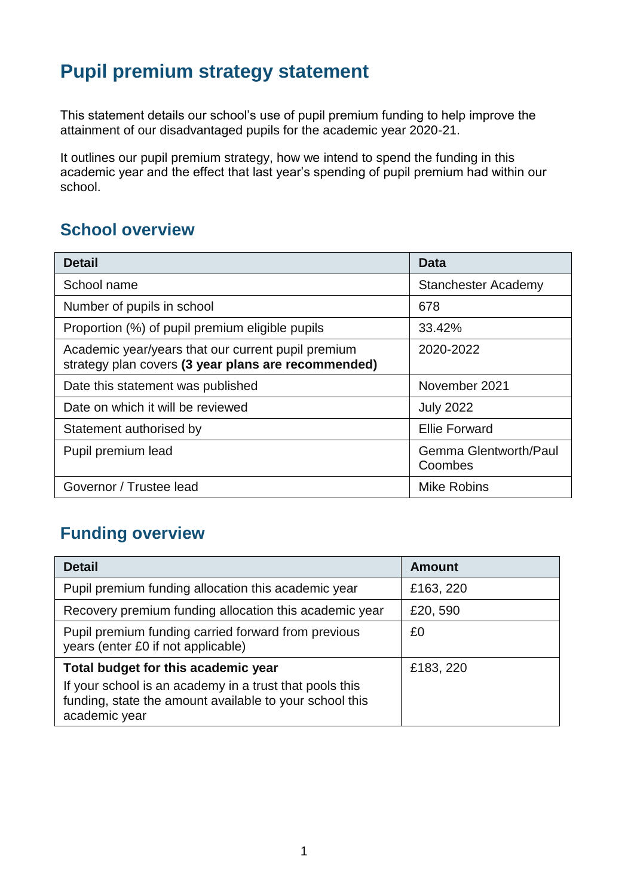# **Pupil premium strategy statement**

This statement details our school's use of pupil premium funding to help improve the attainment of our disadvantaged pupils for the academic year 2020-21.

It outlines our pupil premium strategy, how we intend to spend the funding in this academic year and the effect that last year's spending of pupil premium had within our school.

## **School overview**

| <b>Detail</b>                                                                                             | Data                                    |
|-----------------------------------------------------------------------------------------------------------|-----------------------------------------|
| School name                                                                                               | <b>Stanchester Academy</b>              |
| Number of pupils in school                                                                                | 678                                     |
| Proportion (%) of pupil premium eligible pupils                                                           | 33.42%                                  |
| Academic year/years that our current pupil premium<br>strategy plan covers (3 year plans are recommended) | 2020-2022                               |
| Date this statement was published                                                                         | November 2021                           |
| Date on which it will be reviewed                                                                         | <b>July 2022</b>                        |
| Statement authorised by                                                                                   | <b>Ellie Forward</b>                    |
| Pupil premium lead                                                                                        | <b>Gemma Glentworth/Paul</b><br>Coombes |
| Governor / Trustee lead                                                                                   | <b>Mike Robins</b>                      |

## **Funding overview**

| <b>Detail</b>                                                                                                                       | Amount    |
|-------------------------------------------------------------------------------------------------------------------------------------|-----------|
| Pupil premium funding allocation this academic year                                                                                 | £163, 220 |
| Recovery premium funding allocation this academic year                                                                              | £20,590   |
| Pupil premium funding carried forward from previous<br>years (enter £0 if not applicable)                                           | £0        |
| Total budget for this academic year                                                                                                 | £183, 220 |
| If your school is an academy in a trust that pools this<br>funding, state the amount available to your school this<br>academic year |           |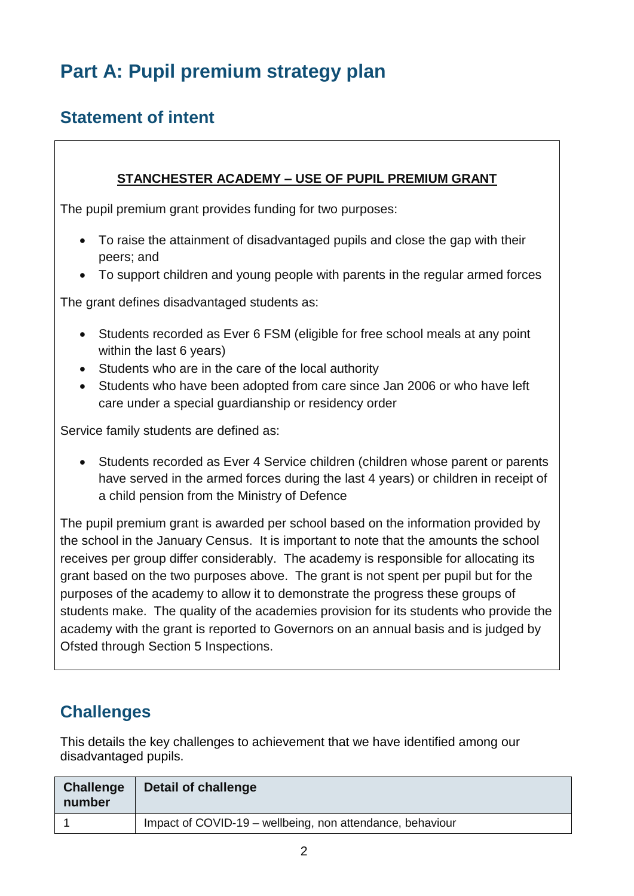# **Part A: Pupil premium strategy plan**

## **Statement of intent**

#### **STANCHESTER ACADEMY – USE OF PUPIL PREMIUM GRANT**

The pupil premium grant provides funding for two purposes:

- To raise the attainment of disadvantaged pupils and close the gap with their peers; and
- To support children and young people with parents in the regular armed forces

The grant defines disadvantaged students as:

- Students recorded as Ever 6 FSM (eligible for free school meals at any point within the last 6 years)
- Students who are in the care of the local authority
- Students who have been adopted from care since Jan 2006 or who have left care under a special guardianship or residency order

Service family students are defined as:

 Students recorded as Ever 4 Service children (children whose parent or parents have served in the armed forces during the last 4 years) or children in receipt of a child pension from the Ministry of Defence

The pupil premium grant is awarded per school based on the information provided by the school in the January Census. It is important to note that the amounts the school receives per group differ considerably. The academy is responsible for allocating its grant based on the two purposes above. The grant is not spent per pupil but for the purposes of the academy to allow it to demonstrate the progress these groups of students make. The quality of the academies provision for its students who provide the academy with the grant is reported to Governors on an annual basis and is judged by Ofsted through Section 5 Inspections.

## **Challenges**

This details the key challenges to achievement that we have identified among our disadvantaged pupils.

| <b>Challenge</b><br>number | Detail of challenge                                       |
|----------------------------|-----------------------------------------------------------|
|                            | Impact of COVID-19 – wellbeing, non attendance, behaviour |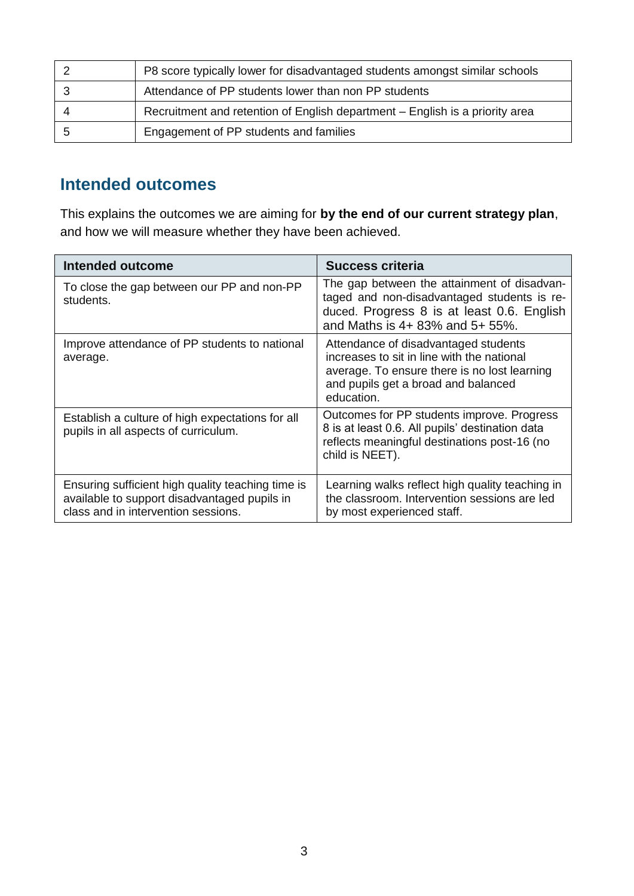| P8 score typically lower for disadvantaged students amongst similar schools  |
|------------------------------------------------------------------------------|
| Attendance of PP students lower than non PP students                         |
| Recruitment and retention of English department – English is a priority area |
| Engagement of PP students and families                                       |

## **Intended outcomes**

This explains the outcomes we are aiming for **by the end of our current strategy plan**, and how we will measure whether they have been achieved.

| Intended outcome                                                                                                                         | Success criteria                                                                                                                                                                        |
|------------------------------------------------------------------------------------------------------------------------------------------|-----------------------------------------------------------------------------------------------------------------------------------------------------------------------------------------|
| To close the gap between our PP and non-PP<br>students.                                                                                  | The gap between the attainment of disadvan-<br>taged and non-disadvantaged students is re-<br>duced. Progress 8 is at least 0.6. English<br>and Maths is 4+ 83% and 5+ 55%.             |
| Improve attendance of PP students to national<br>average.                                                                                | Attendance of disadvantaged students<br>increases to sit in line with the national<br>average. To ensure there is no lost learning<br>and pupils get a broad and balanced<br>education. |
| Establish a culture of high expectations for all<br>pupils in all aspects of curriculum.                                                 | Outcomes for PP students improve. Progress<br>8 is at least 0.6. All pupils' destination data<br>reflects meaningful destinations post-16 (no<br>child is NEET).                        |
| Ensuring sufficient high quality teaching time is<br>available to support disadvantaged pupils in<br>class and in intervention sessions. | Learning walks reflect high quality teaching in<br>the classroom. Intervention sessions are led<br>by most experienced staff.                                                           |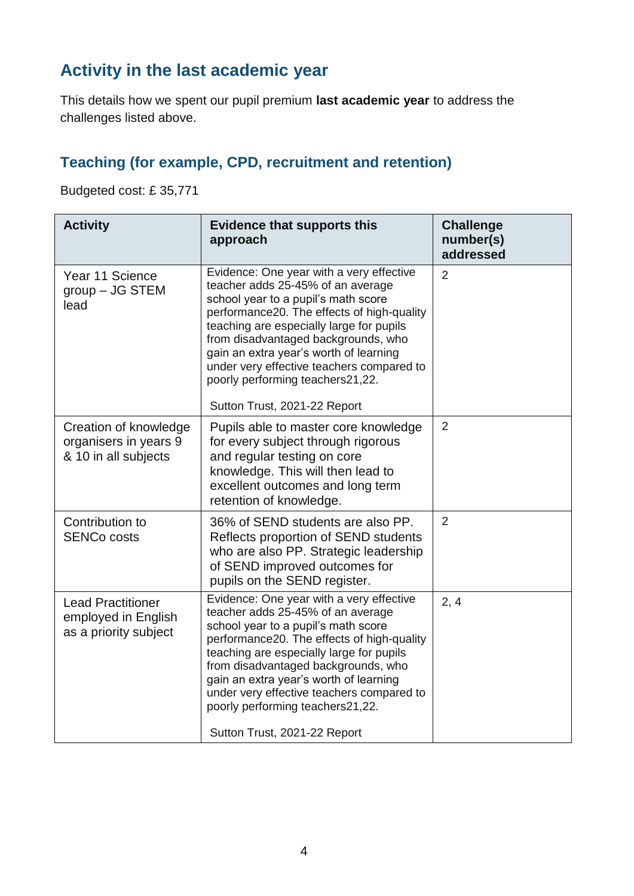## **Activity in the last academic year**

This details how we spent our pupil premium **last academic year** to address the challenges listed above.

### **Teaching (for example, CPD, recruitment and retention)**

Budgeted cost: £ 35,771

| <b>Activity</b>                                                          | <b>Evidence that supports this</b><br>approach                                                                                                                                                                                                                                                                                                                                                                   | <b>Challenge</b><br>number(s)<br>addressed |
|--------------------------------------------------------------------------|------------------------------------------------------------------------------------------------------------------------------------------------------------------------------------------------------------------------------------------------------------------------------------------------------------------------------------------------------------------------------------------------------------------|--------------------------------------------|
| Year 11 Science<br>$group - JG$ STEM<br>lead                             | Evidence: One year with a very effective<br>teacher adds 25-45% of an average<br>school year to a pupil's math score<br>performance20. The effects of high-quality<br>teaching are especially large for pupils<br>from disadvantaged backgrounds, who<br>gain an extra year's worth of learning<br>under very effective teachers compared to<br>poorly performing teachers21,22.<br>Sutton Trust, 2021-22 Report | $\overline{2}$                             |
| Creation of knowledge<br>organisers in years 9<br>& 10 in all subjects   | Pupils able to master core knowledge<br>for every subject through rigorous<br>and regular testing on core<br>knowledge. This will then lead to<br>excellent outcomes and long term<br>retention of knowledge.                                                                                                                                                                                                    | $\overline{2}$                             |
| Contribution to<br><b>SENCo costs</b>                                    | 36% of SEND students are also PP.<br>Reflects proportion of SEND students<br>who are also PP. Strategic leadership<br>of SEND improved outcomes for<br>pupils on the SEND register.                                                                                                                                                                                                                              | $\overline{2}$                             |
| <b>Lead Practitioner</b><br>employed in English<br>as a priority subject | Evidence: One year with a very effective<br>teacher adds 25-45% of an average<br>school year to a pupil's math score<br>performance20. The effects of high-quality<br>teaching are especially large for pupils<br>from disadvantaged backgrounds, who<br>gain an extra year's worth of learning<br>under very effective teachers compared to<br>poorly performing teachers21,22.<br>Sutton Trust, 2021-22 Report | 2, 4                                       |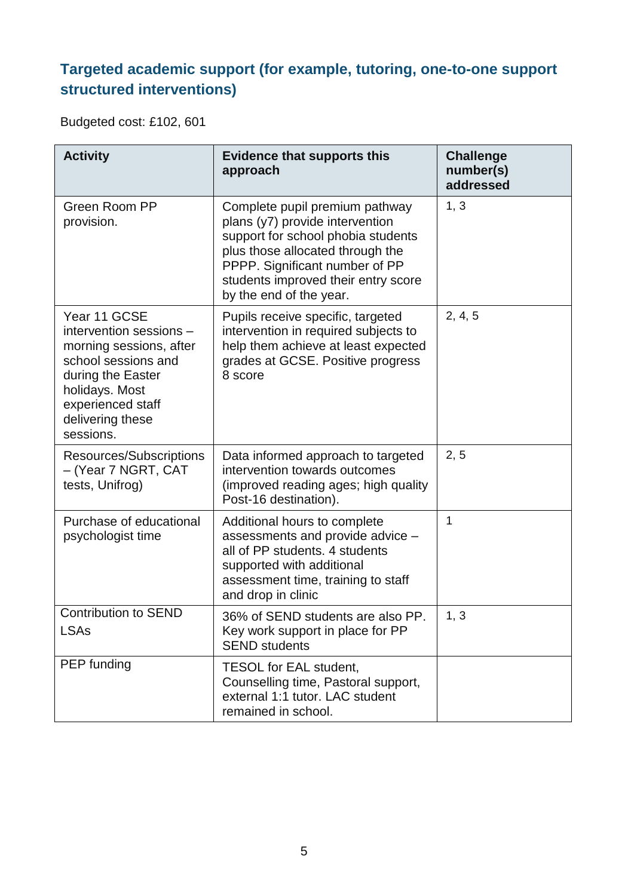## **Targeted academic support (for example, tutoring, one-to-one support structured interventions)**

Budgeted cost: £102, 601

| <b>Activity</b>                                                                                                                                                                        | <b>Evidence that supports this</b><br>approach                                                                                                                                                                                                  | <b>Challenge</b><br>number(s)<br>addressed |
|----------------------------------------------------------------------------------------------------------------------------------------------------------------------------------------|-------------------------------------------------------------------------------------------------------------------------------------------------------------------------------------------------------------------------------------------------|--------------------------------------------|
| Green Room PP<br>provision.                                                                                                                                                            | Complete pupil premium pathway<br>plans (y7) provide intervention<br>support for school phobia students<br>plus those allocated through the<br>PPPP. Significant number of PP<br>students improved their entry score<br>by the end of the year. | 1, 3                                       |
| Year 11 GCSE<br>intervention sessions -<br>morning sessions, after<br>school sessions and<br>during the Easter<br>holidays. Most<br>experienced staff<br>delivering these<br>sessions. | Pupils receive specific, targeted<br>intervention in required subjects to<br>help them achieve at least expected<br>grades at GCSE. Positive progress<br>8 score                                                                                | 2, 4, 5                                    |
| Resources/Subscriptions<br>- (Year 7 NGRT, CAT<br>tests, Unifrog)                                                                                                                      | Data informed approach to targeted<br>intervention towards outcomes<br>(improved reading ages; high quality<br>Post-16 destination).                                                                                                            | 2, 5                                       |
| Purchase of educational<br>psychologist time                                                                                                                                           | Additional hours to complete<br>assessments and provide advice -<br>all of PP students. 4 students<br>supported with additional<br>assessment time, training to staff<br>and drop in clinic                                                     | 1                                          |
| <b>Contribution to SEND</b><br><b>LSAs</b>                                                                                                                                             | 36% of SEND students are also PP.<br>Key work support in place for PP<br><b>SEND students</b>                                                                                                                                                   | 1, 3                                       |
| PEP funding                                                                                                                                                                            | TESOL for EAL student,<br>Counselling time, Pastoral support,<br>external 1:1 tutor. LAC student<br>remained in school.                                                                                                                         |                                            |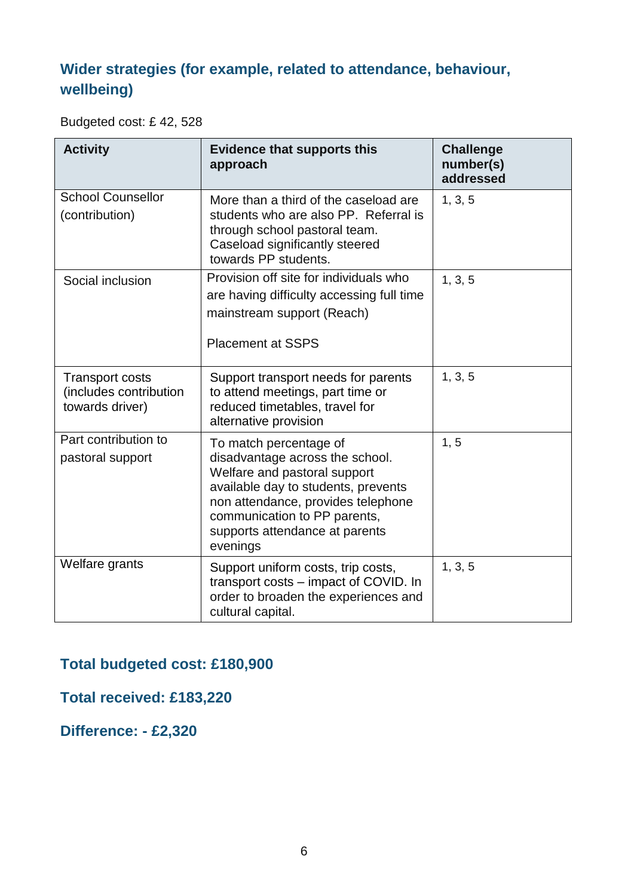## **Wider strategies (for example, related to attendance, behaviour, wellbeing)**

Budgeted cost: £ 42, 528

| <b>Activity</b>                                                     | <b>Evidence that supports this</b><br>approach                                                                                                                                                                                                       | <b>Challenge</b><br>number(s)<br>addressed |
|---------------------------------------------------------------------|------------------------------------------------------------------------------------------------------------------------------------------------------------------------------------------------------------------------------------------------------|--------------------------------------------|
| <b>School Counsellor</b><br>(contribution)                          | More than a third of the caseload are<br>students who are also PP. Referral is<br>through school pastoral team.<br>Caseload significantly steered<br>towards PP students.                                                                            | 1, 3, 5                                    |
| Social inclusion                                                    | Provision off site for individuals who<br>are having difficulty accessing full time<br>mainstream support (Reach)<br><b>Placement at SSPS</b>                                                                                                        | 1, 3, 5                                    |
| <b>Transport costs</b><br>(includes contribution<br>towards driver) | Support transport needs for parents<br>to attend meetings, part time or<br>reduced timetables, travel for<br>alternative provision                                                                                                                   | 1, 3, 5                                    |
| Part contribution to<br>pastoral support                            | To match percentage of<br>disadvantage across the school.<br>Welfare and pastoral support<br>available day to students, prevents<br>non attendance, provides telephone<br>communication to PP parents,<br>supports attendance at parents<br>evenings | 1, 5                                       |
| Welfare grants                                                      | Support uniform costs, trip costs,<br>transport costs – impact of COVID. In<br>order to broaden the experiences and<br>cultural capital.                                                                                                             | 1, 3, 5                                    |

### **Total budgeted cost: £180,900**

**Total received: £183,220**

**Difference: - £2,320**